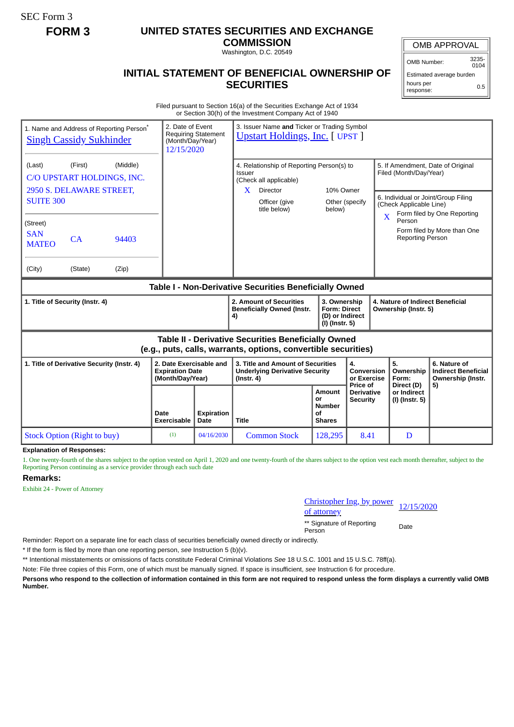SEC Form 3

## **FORM 3 UNITED STATES SECURITIES AND EXCHANGE**

**COMMISSION** Washington, D.C. 20549

## **INITIAL STATEMENT OF BENEFICIAL OWNERSHIP OF SECURITIES**

OMB APPROVAL

OMB Number: 3235- 0104

Estimated average burden hours per response: 0.5

Filed pursuant to Section 16(a) of the Securities Exchange Act of 1934 or Section 30(h) of the Investment Company Act of 1940

| 1. Name and Address of Reporting Person <sup>®</sup><br><b>Singh Cassidy Sukhinder</b>                                                                                                             | 2. Date of Event<br>(Month/Day/Year)<br>12/15/2020                    | <b>Requiring Statement</b> | 3. Issuer Name and Ticker or Trading Symbol<br><b>Upstart Holdings, Inc. [ UPST ]</b>                                                          |                                                             |                                             |                                                                                                                                                                                                                                                             |                                                                       |
|----------------------------------------------------------------------------------------------------------------------------------------------------------------------------------------------------|-----------------------------------------------------------------------|----------------------------|------------------------------------------------------------------------------------------------------------------------------------------------|-------------------------------------------------------------|---------------------------------------------|-------------------------------------------------------------------------------------------------------------------------------------------------------------------------------------------------------------------------------------------------------------|-----------------------------------------------------------------------|
| (Middle)<br>(First)<br>(Last)<br>C/O UPSTART HOLDINGS, INC.<br>2950 S. DELAWARE STREET,<br><b>SUITE 300</b><br>(Street)<br><b>SAN</b><br>CA<br>94403<br><b>MATEO</b><br>(City)<br>(State)<br>(Zip) |                                                                       |                            | 4. Relationship of Reporting Person(s) to<br>Issuer<br>(Check all applicable)<br>$\mathbf{X}$<br>Director<br>Officer (give<br>title below)     | 10% Owner<br>Other (specify<br>below)                       |                                             | 5. If Amendment, Date of Original<br>Filed (Month/Day/Year)<br>6. Individual or Joint/Group Filing<br>(Check Applicable Line)<br>Form filed by One Reporting<br>$\overline{\mathbf{X}}$<br>Person<br>Form filed by More than One<br><b>Reporting Person</b> |                                                                       |
|                                                                                                                                                                                                    |                                                                       |                            |                                                                                                                                                |                                                             |                                             |                                                                                                                                                                                                                                                             |                                                                       |
| Table I - Non-Derivative Securities Beneficially Owned                                                                                                                                             |                                                                       |                            |                                                                                                                                                |                                                             |                                             |                                                                                                                                                                                                                                                             |                                                                       |
| 1. Title of Security (Instr. 4)                                                                                                                                                                    |                                                                       |                            | 2. Amount of Securities<br>3. Ownership<br><b>Beneficially Owned (Instr.</b><br><b>Form: Direct</b><br>(D) or Indirect<br>4)<br>(I) (Instr. 5) |                                                             |                                             | 4. Nature of Indirect Beneficial<br>Ownership (Instr. 5)                                                                                                                                                                                                    |                                                                       |
| <b>Table II - Derivative Securities Beneficially Owned</b><br>(e.g., puts, calls, warrants, options, convertible securities)                                                                       |                                                                       |                            |                                                                                                                                                |                                                             |                                             |                                                                                                                                                                                                                                                             |                                                                       |
| 1. Title of Derivative Security (Instr. 4)                                                                                                                                                         | 2. Date Exercisable and<br><b>Expiration Date</b><br>(Month/Day/Year) |                            | 3. Title and Amount of Securities<br><b>Underlying Derivative Security</b><br>$($ lnstr. 4 $)$                                                 |                                                             | 4.<br>Conversion<br>or Exercise<br>Price of | 5.<br>Ownership<br>Form:<br>Direct (D)                                                                                                                                                                                                                      | 6. Nature of<br><b>Indirect Beneficial</b><br>Ownership (Instr.<br>5) |
|                                                                                                                                                                                                    | Date<br><b>Exercisable</b>                                            | <b>Expiration</b><br>Date  | <b>Title</b>                                                                                                                                   | Amount<br><b>or</b><br><b>Number</b><br>Οf<br><b>Shares</b> | <b>Derivative</b><br><b>Security</b>        | or Indirect<br>(I) (Instr. 5)                                                                                                                                                                                                                               |                                                                       |
| <b>Stock Option (Right to buy)</b>                                                                                                                                                                 | (1)                                                                   | 04/16/2030                 | <b>Common Stock</b>                                                                                                                            | 128.295                                                     | 8.41                                        | D                                                                                                                                                                                                                                                           |                                                                       |

**Explanation of Responses:**

1. One twenty-fourth of the shares subject to the option vested on April 1, 2020 and one twenty-fourth of the shares subject to the option vest each month thereafter, subject to the Reporting Person continuing as a service provider through each such date

**Remarks:**

Exhibit 24 - Power of Attorney

Christopher Ing, by power <u>Christopher mg, by power</u> 12/15/2020<br>of attorney

\*\* Signature of Reporting Person Date

Reminder: Report on a separate line for each class of securities beneficially owned directly or indirectly.

\* If the form is filed by more than one reporting person, *see* Instruction 5 (b)(v).

\*\* Intentional misstatements or omissions of facts constitute Federal Criminal Violations *See* 18 U.S.C. 1001 and 15 U.S.C. 78ff(a).

Note: File three copies of this Form, one of which must be manually signed. If space is insufficient, *see* Instruction 6 for procedure.

**Persons who respond to the collection of information contained in this form are not required to respond unless the form displays a currently valid OMB Number.**